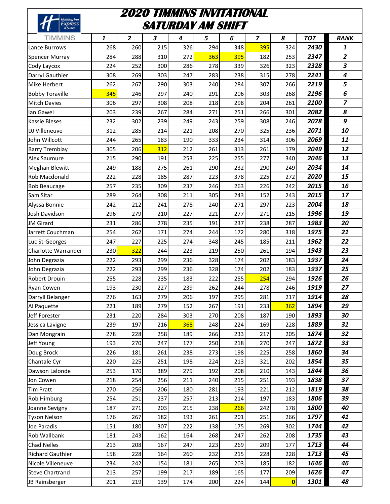| Holiday Inn             |     | 2020 TIMMINS INVITATIONAL<br>SATURDAY AM SHIFT |     |     |     |     |                         |                         |            |                         |
|-------------------------|-----|------------------------------------------------|-----|-----|-----|-----|-------------------------|-------------------------|------------|-------------------------|
| <b>Express</b>          |     |                                                |     |     |     |     |                         |                         |            |                         |
| TIMMINS                 | 1   | $\overline{2}$                                 | 3   | 4   | 5   | 6   | $\overline{\mathbf{z}}$ | 8                       | <b>TOT</b> | <b>RANK</b>             |
| Lance Burrows           | 268 | 260                                            | 215 | 326 | 294 | 348 | 395                     | 324                     | 2430       | 1                       |
| <b>Spencer Murray</b>   | 284 | 288                                            | 310 | 272 | 363 | 395 | 182                     | 253                     | 2347       | $\overline{2}$          |
| Cody Laycox             | 224 | 252                                            | 300 | 286 | 278 | 339 | 326                     | 323                     | 2328       | 3                       |
| Darryl Gauthier         | 308 | 269                                            | 303 | 247 | 283 | 238 | 315                     | 278                     | 2241       | 4                       |
| Mike Herbert            | 262 | 267                                            | 290 | 303 | 240 | 284 | 307                     | 266                     | 2219       | 5                       |
| <b>Bobby Toraville</b>  | 345 | 246                                            | 297 | 240 | 291 | 206 | 303                     | 268                     | 2196       | 6                       |
| <b>Mitch Davies</b>     | 306 | 297                                            | 308 | 208 | 218 | 298 | 204                     | 261                     | 2100       | $\overline{\mathbf{z}}$ |
| Ian Gawel               | 203 | 239                                            | 267 | 284 | 271 | 251 | 266                     | 301                     | 2082       | 8                       |
| <b>Kassie Bleses</b>    | 232 | 302                                            | 239 | 249 | 243 | 259 | 308                     | 246                     | 2078       | 9                       |
| DJ Villeneuve           | 312 | 285                                            | 214 | 221 | 208 | 270 | 325                     | 236                     | 2071       | 10                      |
| John Willcott           | 244 | 265                                            | 183 | 190 | 333 | 234 | 314                     | 306                     | 2069       | 11                      |
| <b>Barry Tremblay</b>   | 305 | 206                                            | 312 | 212 | 261 | 313 | 261                     | 179                     | 2049       | 12                      |
| Alex Saumure            | 215 | 290                                            | 191 | 253 | 225 | 255 | 277                     | 340                     | 2046       | 13                      |
| Meghan Blewitt          | 249 | 188                                            | 275 | 261 | 290 | 232 | 290                     | 249                     | 2034       | 14                      |
| Rob Macdonald           | 222 | 228                                            | 185 | 287 | 223 | 378 | 225                     | 272                     | 2020       | 15                      |
| <b>Bob Beaucage</b>     | 257 | 235                                            | 309 | 237 | 246 | 263 | 226                     | 242                     | 2015       | 16                      |
| Sam Sitar               | 289 | 264                                            | 308 | 211 | 305 | 243 | 152                     | 243                     | 2015       | 17                      |
| Alyssa Bonnie           | 242 | 212                                            | 241 | 278 | 240 | 271 | 297                     | 223                     | 2004       | 18                      |
| Josh Davidson           | 296 | 279                                            | 210 | 227 | 221 | 277 | 271                     | 215                     | 1996       | 19                      |
| <b>JM</b> Girard        | 231 | 286                                            | 278 | 235 | 191 | 237 | 238                     | 287                     | 1983       | 20                      |
| Jarrett Couchman        | 254 | 262                                            | 171 | 274 | 244 | 172 | 280                     | 318                     | 1975       | 21                      |
| Luc St-Georges          | 247 | 227                                            | 225 | 274 | 348 | 245 | 185                     | 211                     | 1962       | 22                      |
| Charlotte Warrander     | 230 | 322                                            | 244 | 223 | 219 | 250 | 261                     | 194                     | 1943       | 23                      |
| John Degrazia           | 222 | 293                                            | 299 | 236 | 328 | 174 | 202                     | 183                     | 1937       | 24                      |
| John Degrazia           | 222 | 293                                            | 299 | 236 | 328 | 174 | 202                     | 183                     | 1937       | 25                      |
| Robert Drouin           | 255 | 228                                            | 235 | 183 | 222 | 255 | 254                     | 294                     | 1926       | 26                      |
| <b>Ryan Cowen</b>       | 193 | 230                                            | 227 | 239 | 262 | 244 | 278                     | 246                     | 1919       | 27                      |
| Darryll Belanger        | 276 | 163                                            | 279 | 206 | 197 | 295 | 281                     | 217                     | 1914       | 28                      |
| Al Paquette             | 221 | 189                                            | 279 | 152 | 267 | 191 | 233                     | 362                     | 1894       | 29                      |
| Jeff Forester           | 231 | 220                                            | 284 | 303 | 270 | 208 | 187                     | 190                     | 1893       | 30                      |
| Jessica Lavigne         | 239 | 197                                            | 216 | 368 | 248 | 224 | 169                     | 228                     | 1889       | 31                      |
| Dan Mongrain            | 278 | 228                                            | 258 | 189 | 266 | 233 | 217                     | 205                     | 1874       | 32                      |
| Jeff Young              | 193 | 270                                            | 247 | 177 | 250 | 218 | 270                     | 247                     | 1872       | 33                      |
| Doug Brock              | 226 | 181                                            | 261 | 238 | 273 | 198 | 225                     | 258                     | 1860       | 34                      |
| Chantale Cyr            | 220 | 225                                            | 251 | 198 | 224 | 213 | 321                     | 202                     | 1854       | 35                      |
| Dawson Lalonde          | 253 | 170                                            | 389 | 279 | 192 | 208 | 210                     | 143                     | 1844       | 36                      |
| Jon Cowen               | 218 | 254                                            | 256 | 211 | 240 | 215 | 251                     | 193                     | 1838       | 37                      |
| <b>Tim Pratt</b>        | 270 | 256                                            | 206 | 180 | 281 | 193 | 221                     | 212                     | 1819       | 38                      |
| Rob Himburg             | 254 | 251                                            | 237 | 257 | 213 | 214 | 197                     | 183                     | 1806       | 39                      |
| Joanne Sevigny          | 187 | 271                                            | 203 | 215 | 238 | 266 | 242                     | 178                     | 1800       | 40                      |
| <b>Tyson Nelson</b>     | 176 | 267                                            | 182 | 193 | 261 | 201 | 251                     | 266                     | 1797       | 41                      |
| Joe Paradis             | 151 | 180                                            | 307 | 222 | 138 | 175 | 269                     | 302                     | 1744       | 42                      |
| Rob Wallbank            | 181 | 243                                            | 162 | 164 | 268 | 247 | 262                     | 208                     | 1735       | 43                      |
| <b>Chad Nelles</b>      | 213 | 208                                            | 167 | 247 | 223 | 269 | 209                     | 177                     | 1713       | 44                      |
| <b>Richard Gauthier</b> | 158 | 228                                            | 164 | 260 | 232 | 215 | 228                     | 228                     | 1713       | 45                      |
| Nicole Villeneuve       | 234 | 242                                            | 154 | 181 | 265 | 203 | 185                     | 182                     | 1646       | 46                      |
| <b>Steve Chartrand</b>  | 213 | 257                                            | 199 | 217 | 189 | 165 | 177                     | 209                     | 1626       | 47                      |
| JB Rainsberger          | 201 | 219                                            | 139 | 174 | 200 | 224 | 144                     | $\overline{\mathbf{0}}$ | 1301       | 48                      |